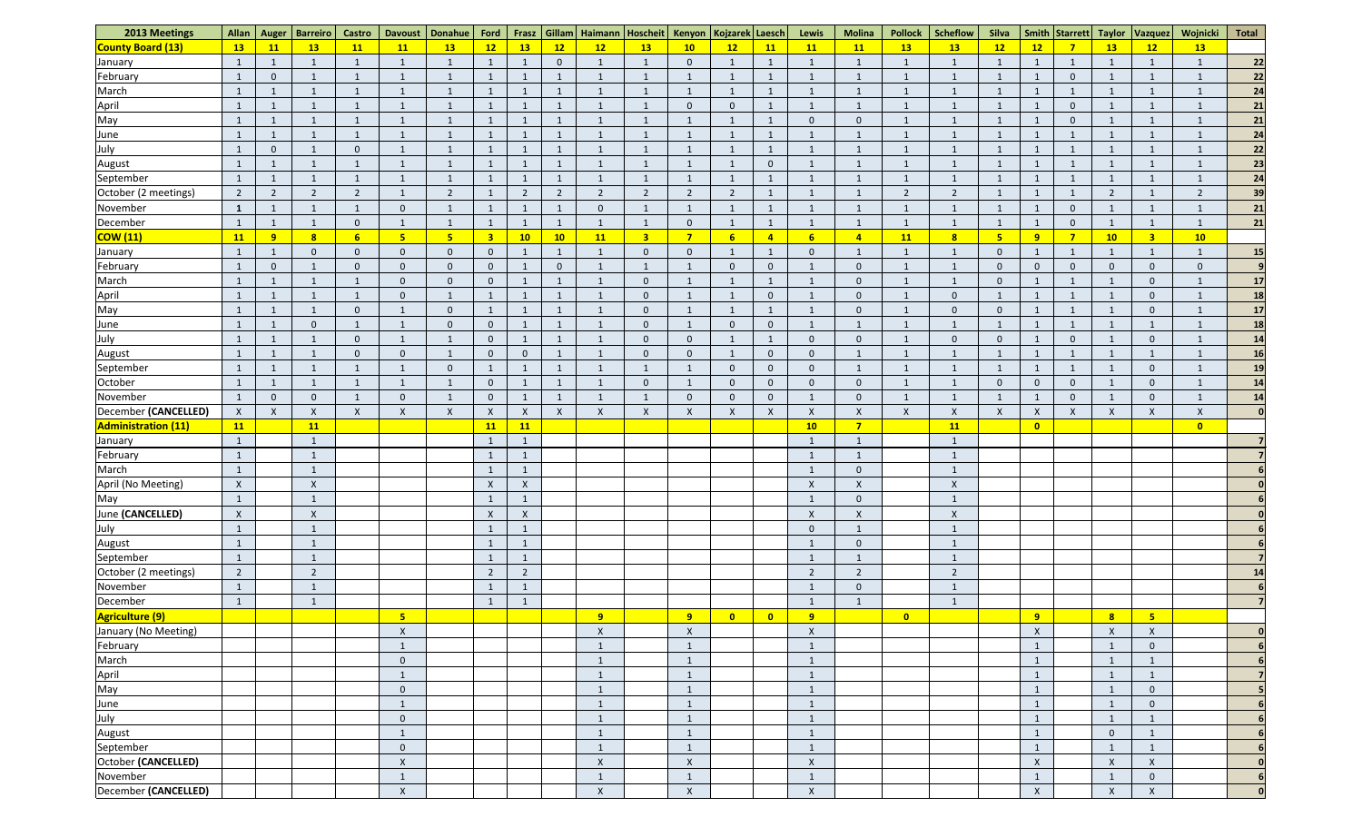| 2013 Meetings              | Allan          | Auger                     | <b>Barreiro</b>         | <b>Castro</b>   | <b>Davoust</b>            | Donahue                   | Ford                    | Frasz          |                | Gillam   Haimann   Hoscheit |                           | Kenyon                    | Kojzarek Laesch         |                | Lewis                     | <b>Molina</b>             | <b>Pollock</b>  | <b>Scheflow</b>         | Silva                     |                    | Smith Starrett           | <b>Taylor</b>  | <b>Vazquez</b>            | Wojnicki           | <b>Total</b>     |
|----------------------------|----------------|---------------------------|-------------------------|-----------------|---------------------------|---------------------------|-------------------------|----------------|----------------|-----------------------------|---------------------------|---------------------------|-------------------------|----------------|---------------------------|---------------------------|-----------------|-------------------------|---------------------------|--------------------|--------------------------|----------------|---------------------------|--------------------|------------------|
| <b>County Board (13)</b>   | 13             | 11                        | <b>13</b>               | <b>11</b>       | 11                        | 13                        | 12                      | 13             | $\boxed{12}$   | 12                          | 13                        | 10                        | 12                      | 11             | 11                        | 11                        | 13              | 13                      | 12                        | 12                 | $\overline{7}$           | 13             | 12                        | 13                 |                  |
| January                    | $\overline{1}$ | $\mathbf{1}$              |                         | $\mathbf{1}$    | -1                        |                           | $\mathbf{1}$            | $\mathbf{1}$   | $\mathbf 0$    | -1                          | $\mathbf{1}$              | $\mathbf{0}$              |                         |                |                           | $\mathbf{1}$              |                 |                         |                           | $\mathbf{1}$       | 1                        |                |                           | -1                 | 22               |
| February                   | $\mathbf{1}$   | $\overline{0}$            |                         | $\mathbf{1}$    |                           |                           | $\mathbf{1}$            | $\mathbf{1}$   |                | $\mathbf{1}$                | $\overline{1}$            |                           |                         |                |                           | $\mathbf{1}$              |                 |                         |                           |                    | $\overline{0}$           | $\overline{1}$ |                           |                    | 22               |
| March                      | $\mathbf{1}$   | -1                        |                         |                 |                           |                           | $\mathbf{1}$            |                |                |                             | $\mathbf{1}$              |                           |                         |                |                           |                           |                 |                         |                           |                    | - 1                      |                |                           |                    | 24               |
| April                      | $\mathbf{1}$   | $\mathbf{1}$              |                         | $\mathbf{1}$    |                           |                           | $\mathbf{1}$            | $\mathbf{1}$   |                | $\mathbf{1}$                | $\mathbf{1}$              | $\mathbf 0$               | $\overline{0}$          |                |                           | $\mathbf 1$               |                 |                         |                           |                    | $\overline{0}$           | $\overline{1}$ |                           |                    | 21               |
| May                        | $\mathbf{1}$   | $\mathbf{1}$              |                         |                 |                           |                           | $\mathbf{1}$            |                |                | $\overline{1}$              |                           |                           |                         |                |                           |                           |                 |                         |                           |                    | $\overline{0}$           |                |                           |                    | 21               |
| June                       | 1              | $\mathbf{1}$              |                         |                 |                           |                           | $\mathbf{1}$            | $\mathbf{1}$   |                | $\mathbf{1}$                | $\overline{1}$            |                           |                         |                |                           |                           |                 |                         |                           |                    | 1                        | $\overline{1}$ |                           |                    | 24               |
| July                       | $\mathbf{1}$   | $\overline{0}$            |                         | $\mathbf 0$     |                           |                           | $\mathbf{1}$            | $\mathbf{1}$   |                | $\mathbf{1}$                | $\overline{1}$            |                           |                         |                |                           | -1                        |                 |                         |                           | $\mathbf{1}$       | $\mathbf{1}$             | 1              |                           | $\mathbf{1}$       | 22               |
| August                     | $\mathbf{1}$   | $\mathbf{1}$              |                         |                 | - 1                       |                           | $\mathbf{1}$            | $\mathbf{1}$   |                | -1                          | $\mathbf{1}$              |                           |                         | $\Omega$       |                           |                           |                 |                         |                           | 1                  | $\overline{1}$           |                |                           |                    | 23               |
| September                  | $\mathbf{1}$   | $\mathbf{1}$              |                         | -1              |                           |                           | $\mathbf{1}$            | $\mathbf{1}$   |                | $\mathbf{1}$                | $\mathbf{1}$              |                           |                         |                |                           |                           |                 |                         |                           |                    | $\mathbf{1}$             | $\overline{1}$ |                           |                    | 24               |
| October (2 meetings)       | $\overline{2}$ | $\overline{2}$            | $\overline{2}$          | $\overline{2}$  |                           | $\overline{2}$            | $\mathbf{1}$            | $\overline{2}$ |                | $\overline{2}$              | $\overline{2}$            | $\overline{2}$            | $\overline{2}$          |                |                           |                           | ാ               | $\mathcal{L}$           |                           |                    | - 1                      | $\overline{2}$ |                           | $\overline{2}$     | 39               |
| November                   | $\mathbf{1}$   | $\mathbf{1}$              |                         |                 | $\mathbf{0}$              |                           | $\mathbf{1}$            |                |                | $\overline{0}$              | $\overline{1}$            |                           |                         |                |                           |                           |                 |                         |                           |                    | $\overline{0}$           |                |                           |                    | 21               |
| December                   | $\mathbf{1}$   | $\mathbf{1}$              |                         |                 |                           |                           | $\mathbf{1}$            | -1             |                | $\overline{1}$              | $\mathbf{1}$              | 0                         |                         |                |                           |                           |                 |                         |                           | 1                  | $\overline{0}$           |                |                           | $\mathbf{1}$       | 21               |
| <b>COW (11)</b>            | 11             | 9                         | $\overline{\mathbf{8}}$ | $6\overline{6}$ | 5                         | 5                         | $\overline{\mathbf{3}}$ | 10             | 10             | <b>11</b>                   | $\overline{\mathbf{3}}$   | $\overline{7}$            | $6\phantom{1}6$         | $\overline{4}$ | 6                         | 4                         | $\overline{11}$ | $\overline{\mathbf{8}}$ | -5                        | 9                  | $\overline{7}$           | 10             | $\overline{\mathbf{3}}$   | 10                 |                  |
| January                    | $\mathbf{1}$   | $\mathbf{1}$              |                         | $\mathbf 0$     | $\overline{0}$            | $\overline{0}$            | $\overline{0}$          | $\mathbf{1}$   | $\overline{1}$ | $\mathbf{1}$                | $\overline{0}$            | $\overline{0}$            |                         |                | $\mathbf 0$               | -1                        |                 |                         | $\Omega$                  | $\mathbf{1}$       | $\mathbf{1}$             | 1              |                           | -1                 | 15               |
| February                   | $\mathbf{1}$   | $\overline{0}$            |                         | $\Omega$        | $\Omega$                  | $\overline{0}$            | $\mathbf 0$             | $\mathbf{1}$   | $\overline{0}$ | $\mathbf{1}$                | $\mathbf{1}$              |                           | $\Omega$                | $\Omega$       |                           | $\Omega$                  |                 |                         | $\Omega$                  | $\overline{0}$     | $\overline{0}$           | $\Omega$       | $\mathbf 0$               | $\mathbf 0$        |                  |
| March                      | $\mathbf{1}$   | $\mathbf{1}$              |                         |                 | $\overline{0}$            | $\overline{0}$            | $\mathbf{0}$            |                |                |                             | $\overline{0}$            |                           |                         |                |                           | $\Omega$                  |                 |                         | $\Omega$                  |                    | $\mathbf{1}$             | $\mathbf{1}$   |                           |                    | 17               |
|                            |                |                           |                         |                 | $\Omega$                  |                           |                         |                |                |                             |                           |                           |                         | $\Omega$       |                           |                           |                 | $\Omega$                |                           |                    |                          |                |                           |                    | 18               |
| April                      | $\mathbf{1}$   | -1                        |                         |                 |                           |                           | $\mathbf{1}$            |                |                |                             | $\overline{0}$            |                           |                         |                |                           | $\Omega$                  |                 | $\Omega$                |                           |                    | - 1                      |                |                           |                    |                  |
| May                        | $\mathbf{1}$   | $\overline{1}$            |                         | $\Omega$        |                           | $\overline{0}$            | $\mathbf{1}$            |                |                |                             | $\mathbf{0}$              |                           |                         |                |                           | $\Omega$                  |                 |                         | $\Omega$                  |                    | $\overline{1}$           |                |                           |                    | 17               |
| June                       | 1              | $\mathbf{1}$              |                         |                 |                           | $\overline{0}$            | $\mathbf 0$             |                |                |                             | $\overline{0}$            |                           | $\Omega$                | $\Omega$       |                           |                           |                 |                         |                           |                    | $\overline{\phantom{0}}$ |                |                           |                    | 18               |
| July                       | $\mathbf{1}$   | $\mathbf{1}$              |                         | 0               | - 1                       |                           | $\mathbf{0}$            | $\mathbf{1}$   |                |                             | $\overline{0}$            | $\mathbf{0}$              |                         | -1             | $\Omega$                  | 0                         |                 | $\Omega$                |                           | 1                  | $\overline{0}$           | -1             | $\Omega$                  |                    | 14               |
| August                     | $\mathbf{1}$   | $\mathbf{1}$              |                         | $\Omega$        | $\Omega$                  |                           | $\mathbf{0}$            | $\overline{0}$ |                | $\mathbf{1}$                | $\overline{0}$            | $\overline{0}$            |                         | $\overline{0}$ | $\Omega$                  | -1                        |                 |                         |                           | $\mathbf{1}$       | 1                        | 1              |                           |                    | 16               |
| September                  | $\mathbf{1}$   | $\mathbf{1}$              |                         | -1              | $\overline{1}$            | $\overline{0}$            | $\mathbf{1}$            | $\mathbf{1}$   |                | -1                          | 1                         |                           | $\Omega$                | $\overline{0}$ | $\Omega$                  | -1                        |                 |                         |                           | $\mathbf{1}$       | $\mathbf{1}$             | -1             | $\mathbf 0$               | $\mathbf 1$        | <b>19</b>        |
| October                    | $\mathbf{1}$   | $\mathbf{1}$              |                         | $\mathbf{1}$    | $\mathbf{1}$              | $\overline{1}$            | $\mathbf 0$             | $\mathbf{1}$   |                | $\overline{1}$              | $\overline{0}$            |                           | $\overline{0}$          | $\mathbf{0}$   | 0                         | $\overline{0}$            |                 |                         | $\Omega$                  | $\mathbf{0}$       | $\overline{0}$           | 1              | $\mathbf 0$               | -1                 | 14               |
| November                   | $\mathbf{1}$   | $\overline{0}$            |                         |                 | $\Omega$                  |                           | $\mathbf{0}$            |                |                | -1                          |                           | $\mathbf{0}$              | $\Omega$                | $\mathbf{0}$   |                           | 0                         |                 |                         |                           |                    | $\mathbf{0}$             |                |                           |                    | 14               |
| December (CANCELLED)       | $\mathsf{X}$   | $\boldsymbol{\mathsf{X}}$ | X                       | $\pmb{\times}$  | $\boldsymbol{\mathsf{X}}$ | $\boldsymbol{\mathsf{X}}$ | $\mathsf X$             | $\mathsf{X}$   | X              | $\mathsf X$                 | $\boldsymbol{\mathsf{X}}$ | $\boldsymbol{\mathsf{X}}$ | X                       | $\pmb{\times}$ | X                         | $\boldsymbol{\mathsf{X}}$ | $\mathsf{X}$    | $\mathbf v$             | $\boldsymbol{\mathsf{X}}$ | $\pmb{\mathsf{X}}$ | $\boldsymbol{X}$         | $\mathsf{X}$   | $\lambda$                 | $\pmb{\mathsf{X}}$ |                  |
| <b>Administration (11)</b> | 11             |                           | 11                      |                 |                           |                           | <b>11</b>               | <b>11</b>      |                |                             |                           |                           |                         |                | 10                        | $\overline{7}$            |                 | 11                      |                           | $\bullet$          |                          |                |                           | $\bullet$          |                  |
| January                    | $\overline{1}$ |                           | $\mathbf{1}$            |                 |                           |                           | $\mathbf{1}$            | $\overline{1}$ |                |                             |                           |                           |                         |                | $\mathbf{1}$              | $\mathbf{1}$              |                 |                         |                           |                    |                          |                |                           |                    | 7                |
| February                   | $\mathbf{1}$   |                           |                         |                 |                           |                           | $\mathbf{1}$            | 1              |                |                             |                           |                           |                         |                |                           | $\overline{1}$            |                 |                         |                           |                    |                          |                |                           |                    | $\overline{7}$   |
| March                      | $\mathbf{1}$   |                           |                         |                 |                           |                           | $\mathbf{1}$            | $\mathbf{1}$   |                |                             |                           |                           |                         |                | -1                        | $\mathbf 0$               |                 |                         |                           |                    |                          |                |                           |                    |                  |
| April (No Meeting)         | $\mathsf X$    |                           | $\pmb{\mathsf{X}}$      |                 |                           |                           | $\boldsymbol{X}$        | $\mathsf{X}$   |                |                             |                           |                           |                         |                | $\boldsymbol{\mathsf{X}}$ | $\boldsymbol{X}$          |                 | $\mathsf{X}$            |                           |                    |                          |                |                           |                    |                  |
| May                        | $\mathbf{1}$   |                           |                         |                 |                           |                           | $\mathbf{1}$            | $\mathbf{1}$   |                |                             |                           |                           |                         |                |                           | $\Omega$                  |                 |                         |                           |                    |                          |                |                           |                    |                  |
| June (CANCELLED)           | $\mathsf{X}$   |                           | $\pmb{\chi}$            |                 |                           |                           | $\mathsf X$             | $\mathsf{X}$   |                |                             |                           |                           |                         |                | $\boldsymbol{\mathsf{X}}$ | $\pmb{\times}$            |                 | $\pmb{\mathsf{X}}$      |                           |                    |                          |                |                           |                    |                  |
| July                       | $\mathbf{1}$   |                           |                         |                 |                           |                           | $\mathbf{1}$            | $\mathbf{1}$   |                |                             |                           |                           |                         |                | $\mathbf 0$               | $\mathbf{1}$              |                 |                         |                           |                    |                          |                |                           |                    | 6 <sup>1</sup>   |
| August                     | $\mathbf{1}$   |                           |                         |                 |                           |                           | $\mathbf{1}$            | $\mathbf{1}$   |                |                             |                           |                           |                         |                |                           | $\mathbf 0$               |                 |                         |                           |                    |                          |                |                           |                    | 6 <sup>1</sup>   |
| September                  | $\mathbf{1}$   |                           |                         |                 |                           |                           | $\mathbf{1}$            | $\mathbf{1}$   |                |                             |                           |                           |                         |                |                           | $\mathbf{1}$              |                 |                         |                           |                    |                          |                |                           |                    | $\overline{7}$   |
| October (2 meetings)       | $\overline{2}$ |                           | $\overline{2}$          |                 |                           |                           | $\overline{2}$          | $\overline{2}$ |                |                             |                           |                           |                         |                | $\overline{2}$            | $\overline{2}$            |                 | $\overline{2}$          |                           |                    |                          |                |                           |                    | 14               |
| November                   | $\mathbf{1}$   |                           | $\mathbf{1}$            |                 |                           |                           | $\mathbf{1}$            | $\mathbf{1}$   |                |                             |                           |                           |                         |                | -1                        | $\mathbf{0}$              |                 | -1                      |                           |                    |                          |                |                           |                    | $6 \overline{6}$ |
| December                   | $\mathbf{1}$   |                           |                         |                 |                           |                           | $\mathbf{1}$            |                |                |                             |                           |                           |                         |                | - 1                       | $\overline{1}$            |                 |                         |                           |                    |                          |                |                           |                    |                  |
| <b>Agriculture (9)</b>     |                |                           |                         |                 | 5                         |                           |                         |                |                | 9                           |                           | 9                         | $\overline{\mathbf{0}}$ | $\bullet$      | 9                         |                           | $\bullet$       |                         |                           | 9                  |                          | $\mathbf{8}$   | $5\overline{5}$           |                    |                  |
| January (No Meeting)       |                |                           |                         |                 | $\boldsymbol{X}$          |                           |                         |                |                | $\mathsf{X}$                |                           | $\boldsymbol{X}$          |                         |                | $\boldsymbol{\mathsf{X}}$ |                           |                 |                         |                           | $\pmb{\mathsf{X}}$ |                          | $\mathsf{X}$   | $\boldsymbol{\mathsf{X}}$ |                    | $\mathbf{0}$     |
| February                   |                |                           |                         |                 | $\overline{1}$            |                           |                         |                |                | $\mathbf{1}$                |                           | $\mathbf{1}$              |                         |                | -1                        |                           |                 |                         |                           | $\mathbf{1}$       |                          | 1              | $\mathbf 0$               |                    | 6 <sup>1</sup>   |
| March                      |                |                           |                         |                 | $\mathbf{0}$              |                           |                         |                |                | $\mathbf{1}$                |                           | $\mathbf{1}$              |                         |                | $\mathbf{1}$              |                           |                 |                         |                           | $\mathbf{1}$       |                          | $\mathbf{1}$   |                           |                    |                  |
| April                      |                |                           |                         |                 | $\mathbf{1}$              |                           |                         |                |                | $\overline{1}$              |                           | $\mathbf{1}$              |                         |                | $\mathbf{\overline{1}}$   |                           |                 |                         |                           | $\mathbf{1}$       |                          | $\mathbf{1}$   |                           |                    |                  |
| May                        |                |                           |                         |                 | $\mathbf{0}$              |                           |                         |                |                | $\mathbf{1}$                |                           | $\overline{1}$            |                         |                | $\overline{1}$            |                           |                 |                         |                           | $\mathbf{1}$       |                          | $\mathbf{1}$   | $\overline{0}$            |                    |                  |
| June                       |                |                           |                         |                 |                           |                           |                         |                |                | $\mathbf{1}$                |                           |                           |                         |                |                           |                           |                 |                         |                           | $\mathbf{1}$       |                          | $\mathbf{1}$   | $\mathbf 0$               |                    |                  |
| July                       |                |                           |                         |                 | $\overline{0}$            |                           |                         |                |                | $\mathbf{1}$                |                           |                           |                         |                |                           |                           |                 |                         |                           | $\mathbf{1}$       |                          | $\mathbf{1}$   |                           |                    |                  |
| August                     |                |                           |                         |                 | $\mathbf{1}$              |                           |                         |                |                | $\mathbf{1}$                |                           | $\mathbf{1}$              |                         |                | -1                        |                           |                 |                         |                           | $\mathbf{1}$       |                          | $\mathbf 0$    |                           |                    | 6                |
| September                  |                |                           |                         |                 | $\mathbf{0}$              |                           |                         |                |                | $\mathbf{1}$                |                           | -1                        |                         |                | $\overline{1}$            |                           |                 |                         |                           | $\mathbf{1}$       |                          | $\mathbf{1}$   |                           |                    | $6 \mid$         |
| October (CANCELLED)        |                |                           |                         |                 | $\pmb{\times}$            |                           |                         |                |                | $\mathsf X$                 |                           | $\pmb{\times}$            |                         |                | $\lambda$                 |                           |                 |                         |                           | $\pmb{\mathsf{X}}$ |                          | $\pmb{\times}$ | $\mathsf{X}$              |                    | $\Omega$         |
| November                   |                |                           |                         |                 | $\overline{\mathbf{1}}$   |                           |                         |                |                | $\mathbf{1}$                |                           |                           |                         |                |                           |                           |                 |                         |                           | $\mathbf{1}$       |                          | 1              | $\mathbf 0$               |                    | $6 \mid$         |
| December (CANCELLED)       |                |                           |                         |                 | $\pmb{\times}$            |                           |                         |                |                | $\mathsf X$                 |                           | $\mathsf{X}$              |                         |                | $\boldsymbol{\mathsf{X}}$ |                           |                 |                         |                           | $\mathsf X$        |                          | $\pmb{\times}$ | $\boldsymbol{\mathsf{X}}$ |                    | $\mathbf{0}$     |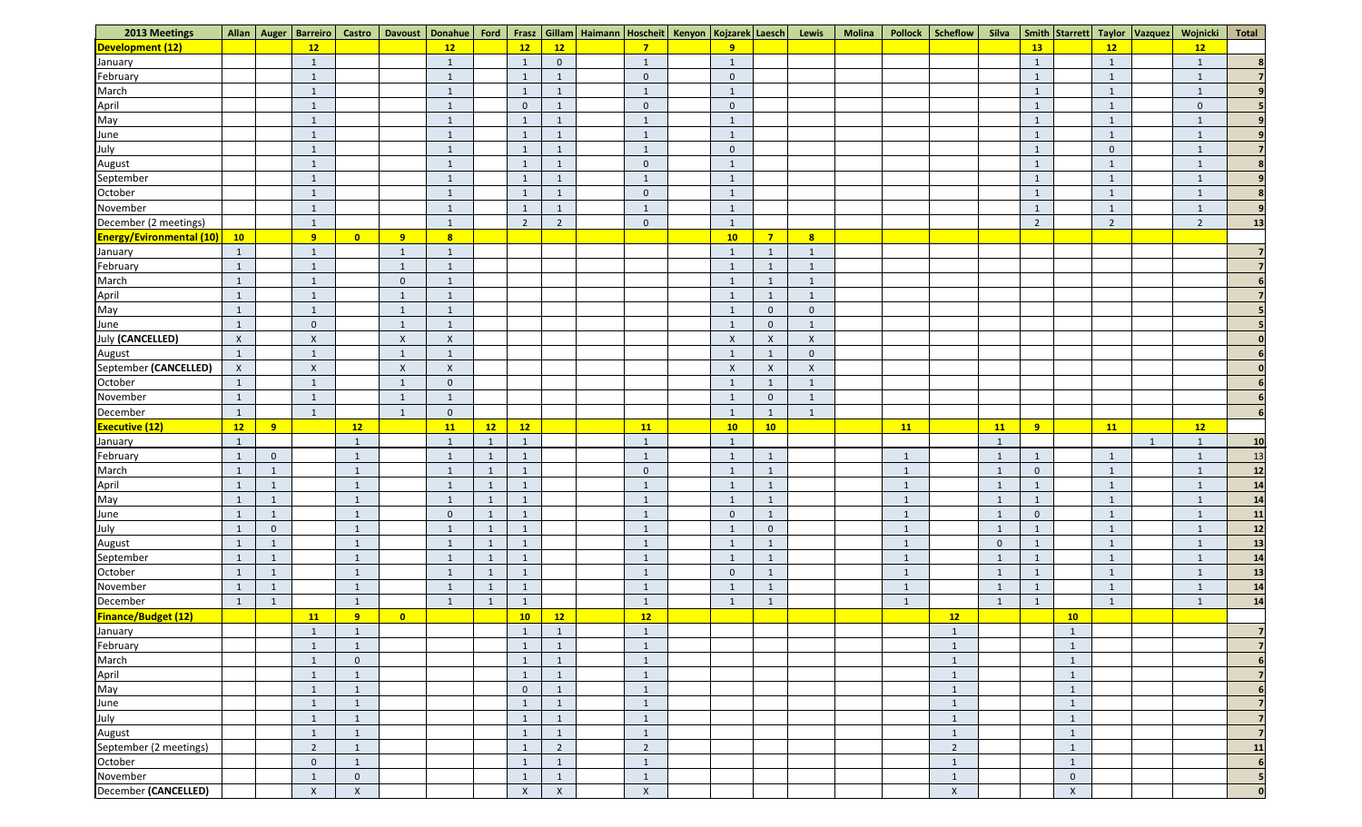| 2013 Meetings                    |                      |                | Allan   Auger   Barreiro | <b>Castro</b>           |                           | Davoust   Donahue   Ford  |                      |                                |                |                      | Frasz   Gillam   Haimann   Hoscheit   Kenyon   Kojzarek   Laesch |                | Lewis                     | <b>Molina</b><br><b>Pollock</b> | Scheflow                 | Silva                     |                | Smith Starrett |                         | Wojnicki<br>Taylor Vazquez | <b>Total</b> |
|----------------------------------|----------------------|----------------|--------------------------|-------------------------|---------------------------|---------------------------|----------------------|--------------------------------|----------------|----------------------|------------------------------------------------------------------|----------------|---------------------------|---------------------------------|--------------------------|---------------------------|----------------|----------------|-------------------------|----------------------------|--------------|
| Development (12)                 |                      |                | 12                       |                         |                           | 12                        |                      | 12                             | 12             | $\overline{7}$       | 9                                                                |                |                           |                                 |                          |                           | 13             |                | 12                      | 12                         |              |
| January                          |                      |                | $\mathbf{1}$             |                         |                           | $\overline{1}$            |                      | -1                             | $\overline{0}$ | $\overline{1}$       | $\overline{1}$                                                   |                |                           |                                 |                          |                           | 1              |                |                         |                            |              |
| February                         |                      |                | $\mathbf{1}$             |                         |                           | $\mathbf{1}$              |                      | $\mathbf{1}$                   |                | $\mathbf{0}$         | $\overline{0}$                                                   |                |                           |                                 |                          |                           | $\mathbf{1}$   |                |                         |                            |              |
| March                            |                      |                | $\mathbf{1}$             |                         |                           | $\mathbf{1}$              |                      | $\mathbf{1}$                   |                | 1                    | $\overline{1}$                                                   |                |                           |                                 |                          |                           | $\mathbf{1}$   |                |                         |                            |              |
| April                            |                      |                | $\mathbf{1}$             |                         |                           | $\mathbf{1}$              |                      | $\overline{0}$                 | $\overline{1}$ | $\overline{0}$       | $\overline{0}$                                                   |                |                           |                                 |                          |                           | $\mathbf{1}$   |                |                         | $\overline{0}$             |              |
| May                              |                      |                | $\sqrt{1}$               |                         |                           | $\overline{1}$            |                      | $\mathbf{1}$                   |                | $\overline{1}$       | $\overline{1}$                                                   |                |                           |                                 |                          |                           | $\mathbf{1}$   |                |                         |                            |              |
| June                             |                      |                | $\mathbf{1}$             |                         |                           | $\overline{1}$            |                      | $\mathbf{1}$                   | $\mathbf{1}$   | $\overline{1}$       | $\overline{1}$                                                   |                |                           |                                 |                          |                           | $\mathbf{1}$   |                | -1                      |                            |              |
| July                             |                      |                | $\mathbf{1}$             |                         |                           | $\mathbf{1}$              |                      | $\mathbf{1}$                   |                | $\mathbf{1}$         | $\overline{0}$                                                   |                |                           |                                 |                          |                           | $\mathbf{1}$   |                | $\overline{0}$          | $\mathbf{1}$               |              |
| August                           |                      |                | $\mathbf{1}$             |                         |                           | $\overline{1}$            |                      | $\mathbf{1}$                   |                | $\overline{0}$       | $\mathbf{1}$                                                     |                |                           |                                 |                          |                           | $\mathbf{1}$   |                |                         |                            |              |
| September                        |                      |                | $\mathbf{1}$             |                         |                           | 1                         |                      | $\mathbf{1}$                   |                | $\overline{1}$       | $\overline{1}$                                                   |                |                           |                                 |                          |                           | $\mathbf{1}$   |                |                         |                            |              |
| October                          |                      |                |                          |                         |                           | $\mathbf{1}$              |                      | $\mathbf{1}$                   |                | $\overline{0}$       | $\overline{1}$                                                   |                |                           |                                 |                          |                           | $\mathbf{1}$   |                |                         |                            |              |
| November                         |                      |                | $\overline{1}$           |                         |                           | 1                         |                      |                                | $\overline{1}$ | $\mathbf{1}$         | $\mathbf{1}$                                                     |                |                           |                                 |                          |                           | $\mathbf{1}$   |                |                         |                            |              |
| December (2 meetings)            |                      |                | $\mathbf{1}$             |                         |                           | $\mathbf{1}$              |                      | $\mathbf{1}$<br>$\overline{2}$ | $\overline{2}$ | $\overline{0}$       | $\mathbf{1}$                                                     |                |                           |                                 |                          |                           | $\overline{2}$ |                | $\overline{2}$          | $\overline{2}$             | 13           |
| <b>Energy/Evironmental (10)</b>  | $\overline{10}$      |                | 9                        | $\overline{\mathbf{0}}$ | 9                         | $\overline{\mathbf{8}}$   |                      |                                |                |                      | 10                                                               | $7^{\circ}$    | $\overline{\mathbf{8}}$   |                                 |                          |                           |                |                |                         |                            |              |
|                                  | $\mathbf{1}$         |                | $\mathbf{1}$             |                         | $\overline{1}$            | 1                         |                      |                                |                |                      | $\mathbf{1}$                                                     |                |                           |                                 |                          |                           |                |                |                         |                            |              |
| January<br>February              |                      |                | $\mathbf{1}$             |                         | $\overline{1}$            | $\mathbf{1}$              |                      |                                |                |                      | $\mathbf{1}$                                                     |                |                           |                                 |                          |                           |                |                |                         |                            |              |
| March                            |                      |                |                          |                         |                           | $\mathbf{1}$              |                      |                                |                |                      | - 1                                                              |                |                           |                                 |                          |                           |                |                |                         |                            |              |
|                                  |                      |                |                          |                         | $\overline{0}$            |                           |                      |                                |                |                      |                                                                  |                |                           |                                 |                          |                           |                |                |                         |                            |              |
| April                            |                      |                |                          |                         |                           | $\overline{1}$            |                      |                                |                |                      | $\overline{1}$                                                   |                |                           |                                 |                          |                           |                |                |                         |                            |              |
| May                              | $\mathbf{1}$         |                | $\mathbf{1}$             |                         | $\overline{1}$            | $\overline{1}$            |                      |                                |                |                      | $\mathbf{1}$                                                     | $\mathbf{0}$   | $\Omega$                  |                                 |                          |                           |                |                |                         |                            |              |
| June                             | $\mathbf{1}$         |                | $\Omega$                 |                         | $\overline{1}$            | $\overline{1}$            |                      |                                |                |                      | $\overline{1}$                                                   | $\mathbf{0}$   |                           |                                 |                          |                           |                |                |                         |                            |              |
| <b>July (CANCELLED)</b>          | $\mathsf{X}$         |                | $\pmb{\mathsf{X}}$       |                         | $\boldsymbol{X}$          | $\boldsymbol{X}$          |                      |                                |                |                      | $\boldsymbol{X}$                                                 | $\mathsf{X}$   | $\boldsymbol{\mathsf{X}}$ |                                 |                          |                           |                |                |                         |                            |              |
| August                           | $\mathbf{1}$         |                | $\mathbf{1}$             |                         | $\overline{1}$            | 1                         |                      |                                |                |                      | $\mathbf{1}$                                                     |                | $\overline{0}$            |                                 |                          |                           |                |                |                         |                            |              |
| September (CANCELLED)            | $\mathsf{X}$         |                | $\pmb{\mathsf{X}}$       |                         | $\boldsymbol{\mathsf{X}}$ | $\boldsymbol{X}$          |                      |                                |                |                      | $\lambda$                                                        | $\mathsf{X}$   | $\lambda$                 |                                 |                          |                           |                |                |                         |                            |              |
| October                          |                      |                |                          |                         |                           | $\overline{0}$            |                      |                                |                |                      |                                                                  |                |                           |                                 |                          |                           |                |                |                         |                            |              |
| November                         |                      |                |                          |                         |                           | $\mathbf{1}$              |                      |                                |                |                      | $\mathbf{1}$                                                     | $\overline{0}$ |                           |                                 |                          |                           |                |                |                         |                            |              |
| December                         | $\mathbf{1}$         |                | $\overline{1}$           |                         | $\overline{1}$            | $\overline{0}$            |                      |                                |                |                      | $\mathbf{1}$                                                     |                |                           |                                 |                          |                           |                |                |                         |                            |              |
| <b>Executive (12)</b><br>January | 12<br>$\overline{1}$ | 9              |                          | 12<br>$\mathbf{1}$      |                           | <b>11</b><br>$\mathbf{1}$ | 12<br>$\overline{1}$ | 12<br>$\mathbf{1}$             |                | 11<br>$\overline{1}$ | 10<br>1                                                          | 10             |                           | 11                              |                          | <b>11</b><br>$\mathbf{1}$ | 9 <sup>°</sup> |                | 11                      | 12<br>$\overline{1}$       | 10           |
| February                         | $\mathbf{1}$         | $\overline{0}$ |                          | $\mathbf{1}$            |                           | 1                         | $\mathbf{1}$         | $\mathbf{1}$                   |                | $\overline{1}$       | $\mathbf{1}$                                                     | 1              |                           | $\mathbf{1}$                    |                          | $\mathbf{1}$              | $\mathbf{1}$   |                | -1                      | $\mathbf{1}$               | 13           |
| March                            | $\mathbf{1}$         |                |                          | $\mathbf{1}$            |                           | 1                         | $\mathbf{1}$         |                                |                | $\mathbf{0}$         | $\overline{1}$                                                   |                |                           | $\overline{1}$                  |                          |                           | $\mathbf{0}$   |                |                         |                            | $12$         |
|                                  | $\mathbf{1}$         | $\overline{1}$ |                          | $\mathbf{1}$            |                           | 1                         | $\mathbf{1}$         | $\mathbf{1}$                   |                | $\overline{1}$       | $\overline{1}$                                                   |                |                           | $\mathbf{1}$                    |                          | $\mathbf{1}$              |                |                |                         |                            | 14           |
| April<br>May                     | $\mathbf{1}$         | $\mathbf{1}$   |                          | $\mathbf{1}$            |                           | $\mathbf{1}$              | $\mathbf{1}$         |                                |                | $\overline{1}$       |                                                                  |                |                           |                                 |                          |                           |                |                |                         |                            | 14           |
| June                             | $\mathbf{1}$         | $\mathbf{1}$   |                          | $\mathbf{1}$            |                           | $\overline{0}$            | $\mathbf{1}$         | $\mathbf{1}$                   |                | $\mathbf{1}$         | $\overline{0}$                                                   | 1              |                           | $\overline{1}$                  |                          | $\mathbf{1}$              | $\overline{0}$ |                | $\mathbf{1}$            |                            | 11           |
| July                             | $\mathbf{1}$         | $\overline{0}$ |                          | $\overline{1}$          |                           | 1                         | $\mathbf{1}$         | $\mathbf{1}$                   |                | $\mathbf{1}$         | $\overline{1}$                                                   | $\overline{0}$ |                           | $\overline{1}$                  |                          | $\mathbf{1}$              | $\mathbf{1}$   |                | $\mathbf{1}$            | $\mathbf{1}$               | $12$         |
| August                           | $\mathbf{1}$         | $\mathbf{1}$   |                          | $\mathbf{1}$            |                           | $\overline{1}$            | $\mathbf{1}$         | $\mathbf{1}$                   |                | $\overline{1}$       | $\overline{1}$                                                   | 1              |                           | $\overline{1}$                  |                          | $\overline{0}$            | $\mathbf{1}$   |                | $\mathbf{1}$            | $\overline{1}$             | 13           |
| September                        | $\mathbf{1}$         | $\mathbf{1}$   |                          | $\mathbf{1}$            |                           | $\mathbf{1}$              | $\mathbf{1}$         | $\mathbf{1}$                   |                | $\mathbf{1}$         | $\mathbf{1}$                                                     | $\mathbf{1}$   |                           | $\mathbf{1}$                    |                          | $\mathbf{1}$              | $\mathbf{1}$   |                | $\overline{\mathbf{1}}$ | $\mathbf{1}$               | 14           |
| October                          | $\mathbf{1}$         | $\mathbf{1}$   |                          | $\mathbf{1}$            |                           | 1                         | $\mathbf{1}$         | $\mathbf{1}$                   |                | $\overline{1}$       | $\overline{0}$                                                   |                |                           | $\overline{1}$                  |                          | $\overline{1}$            | $\mathbf{1}$   |                |                         |                            | 13           |
| November                         | $\mathbf{1}$         | $\overline{1}$ |                          | $\mathbf{1}$            |                           | $\overline{1}$            | $\mathbf{1}$         | $\mathbf{1}$                   |                | $\overline{1}$       | $\overline{1}$                                                   |                |                           | $\mathbf{1}$                    |                          | $\mathbf{1}$              | $\mathbf{1}$   |                |                         | $\mathbf{1}$               | 14           |
| December                         | $\mathbf{1}$         | $\mathbf{1}$   |                          | $\mathbf{1}$            |                           | 1                         | $\mathbf{1}$         | $\mathbf{1}$                   |                | $\mathbf{1}$         | $\overline{1}$                                                   |                |                           | $\overline{1}$                  |                          | $\mathbf{1}$              | $\mathbf{1}$   |                |                         |                            | 14           |
| <b>Finance/Budget (12)</b>       |                      |                | <b>11</b>                | 9                       | $\bullet$                 |                           |                      | 10                             | 12             | 12                   |                                                                  |                |                           |                                 | 12                       |                           |                | 10             |                         |                            |              |
| January                          |                      |                | $\mathbf{1}$             | $\mathbf{1}$            |                           |                           |                      | $\mathbf{1}$                   | $\mathbf{1}$   | $\mathbf{1}$         |                                                                  |                |                           |                                 | $\mathbf{1}$             |                           |                | $\mathbf{1}$   |                         |                            |              |
| February                         |                      |                | $\mathbf{1}$             | $\mathbf{1}$            |                           |                           |                      | $\mathbf{1}$                   | $\overline{1}$ | $\overline{1}$       |                                                                  |                |                           |                                 | $\overline{1}$           |                           |                | $\mathbf{1}$   |                         |                            |              |
| March                            |                      |                | $\mathbf{1}$             | $\overline{0}$          |                           |                           |                      | $\mathbf{1}$                   | 1              | $\mathbf{1}$         |                                                                  |                |                           |                                 | $\overline{\phantom{0}}$ |                           |                | $\mathbf{1}$   |                         |                            |              |
| April                            |                      |                | $\mathbf{1}$             | $\mathbf{1}$            |                           |                           |                      | $\mathbf{1}$                   |                | 1                    |                                                                  |                |                           |                                 | $\mathbf{1}$             |                           |                | ÷.             |                         |                            |              |
| $\overline{\text{May}}$          |                      |                | $\mathbf{1}$             | $\mathbf{1}$            |                           |                           |                      | $\overline{0}$                 |                | $\overline{1}$       |                                                                  |                |                           |                                 | $\mathbf{1}$             |                           |                | $\overline{1}$ |                         |                            |              |
| June                             |                      |                |                          | -1                      |                           |                           |                      | $\mathbf{1}$                   |                | 1                    |                                                                  |                |                           |                                 | $\mathbf{1}$             |                           |                |                |                         |                            |              |
| July                             |                      |                | 1                        | $\mathbf{1}$            |                           |                           |                      | $\mathbf{1}$                   | -1             | $\mathbf{1}$         |                                                                  |                |                           |                                 | $\mathbf{1}$             |                           |                | $\mathbf{1}$   |                         |                            |              |
| August                           |                      |                | $\mathbf{1}$             | $\mathbf{1}$            |                           |                           |                      | $\mathbf{1}$                   | $\mathbf{1}$   | $\mathbf{1}$         |                                                                  |                |                           |                                 | $\mathbf{1}$             |                           |                | $\mathbf{1}$   |                         |                            |              |
| September (2 meetings)           |                      |                | $\overline{2}$           | $\mathbf{1}$            |                           |                           |                      | $\mathbf{1}$                   | $\overline{2}$ | $\overline{2}$       |                                                                  |                |                           |                                 | $\overline{2}$           |                           |                | $\mathbf{1}$   |                         |                            | 11           |
| October                          |                      |                | $\mathbf 0$              | $\mathbf{1}$            |                           |                           |                      | $\mathbf{1}$                   | $\mathbf{1}$   | $\mathbf{1}$         |                                                                  |                |                           |                                 | $\mathbf{1}$             |                           |                | $\mathbf{1}$   |                         |                            |              |
| November                         |                      |                |                          | $\overline{0}$          |                           |                           |                      | $\mathbf{1}$                   |                | 1                    |                                                                  |                |                           |                                 | - 1                      |                           |                | $\overline{0}$ |                         |                            |              |
| December (CANCELLED)             |                      |                | $\pmb{\mathsf{X}}$       | $\mathsf{X}$            |                           |                           |                      | $\mathsf{X}$                   | $\pmb{\chi}$   | $\mathsf X$          |                                                                  |                |                           |                                 | $\mathsf{X}$             |                           |                | $\pmb{\chi}$   |                         |                            | 0            |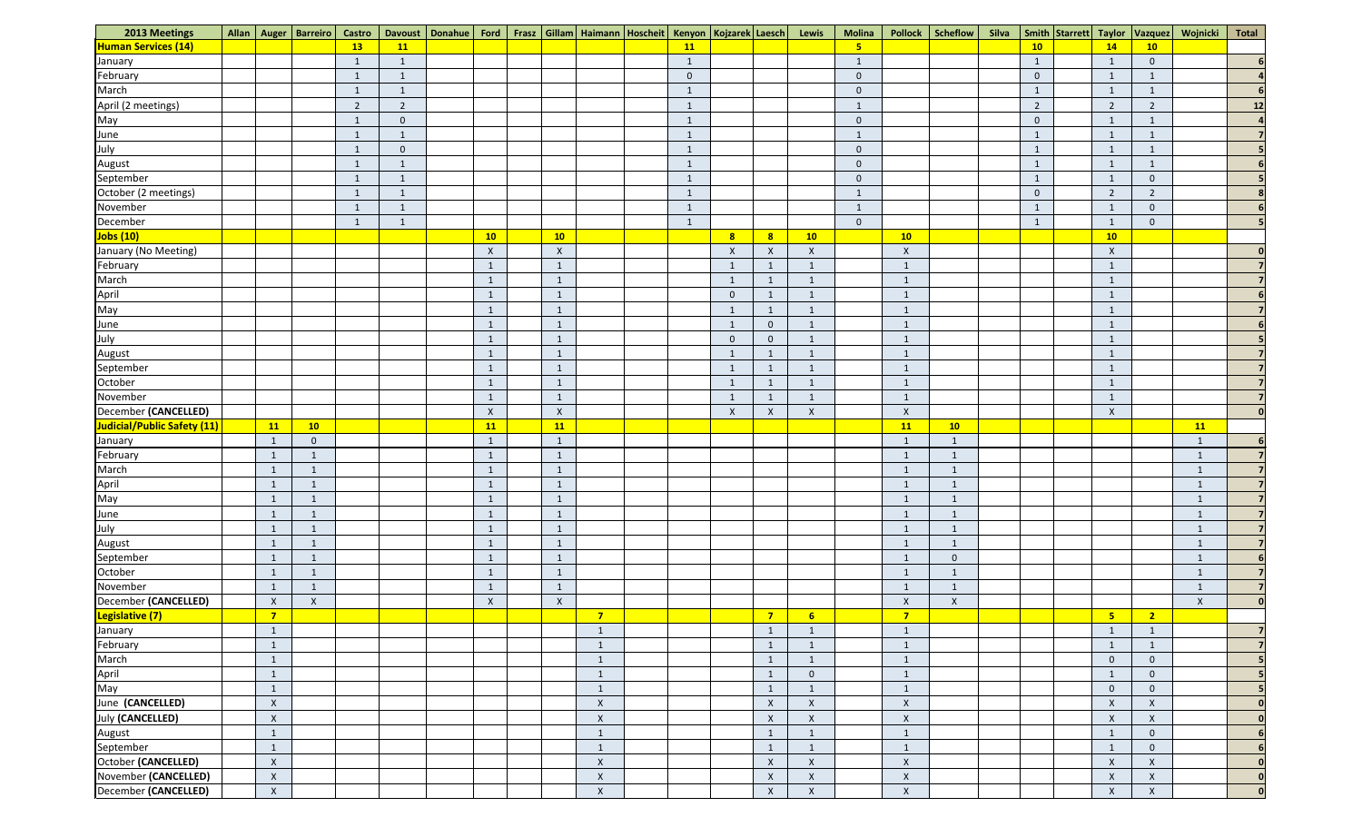| 2013 Meetings               |                           | Allan   Auger   Barreiro   Castro |                |                | Davoust   Donahue   Ford   Frasz   Gillam   Haimann   Hoscheit   Kenyon   Kojzarek   Laesch   Lewis |                  |                |              |                         |                  |                           | <b>Molina</b>   |                           | Pollock   Scheflow      | Silva   Smith   Starrett   Taylor |                           | Vazquez                   | Wojnicki                | Total          |
|-----------------------------|---------------------------|-----------------------------------|----------------|----------------|-----------------------------------------------------------------------------------------------------|------------------|----------------|--------------|-------------------------|------------------|---------------------------|-----------------|---------------------------|-------------------------|-----------------------------------|---------------------------|---------------------------|-------------------------|----------------|
| <b>Human Services (14)</b>  |                           |                                   | <b>13</b>      | 11             |                                                                                                     |                  |                | 11           |                         |                  |                           | $5\overline{5}$ |                           |                         | 10                                | 14                        | 10                        |                         |                |
| January                     |                           |                                   | -1             | $\overline{1}$ |                                                                                                     |                  |                |              |                         |                  |                           | $\mathbf{1}$    |                           |                         | -1                                | $\overline{1}$            | $\overline{0}$            |                         |                |
| February                    |                           |                                   | $\mathbf{1}$   | $\overline{1}$ |                                                                                                     |                  |                | $\mathbf 0$  |                         |                  |                           | $\mathbf 0$     |                           |                         | $\mathbf{0}$                      | 1                         | $\mathbf{1}$              |                         |                |
| March                       |                           |                                   | $\mathbf{1}$   | $\overline{1}$ |                                                                                                     |                  |                | $\mathbf{1}$ |                         |                  |                           | $\Omega$        |                           |                         |                                   | $\overline{1}$            | $\overline{1}$            |                         |                |
| April (2 meetings)          |                           |                                   | $\overline{2}$ | $\overline{2}$ |                                                                                                     |                  |                | $\mathbf{1}$ |                         |                  |                           | $\mathbf{1}$    |                           |                         | $\overline{2}$                    | $\overline{2}$            | $\overline{2}$            |                         | 12             |
| May                         |                           |                                   | $\mathbf{1}$   | $\overline{0}$ |                                                                                                     |                  |                |              |                         |                  |                           | $\overline{0}$  |                           |                         | $\overline{0}$                    |                           |                           |                         |                |
| June                        |                           |                                   | $\mathbf{1}$   | $\overline{1}$ |                                                                                                     |                  |                | $\mathbf{1}$ |                         |                  |                           | $\mathbf{1}$    |                           |                         | $\mathbf{1}$                      | 1                         | $\overline{1}$            |                         |                |
| July                        |                           |                                   | $\mathbf{1}$   | $\overline{0}$ |                                                                                                     |                  |                | $\mathbf{1}$ |                         |                  |                           | $\overline{0}$  |                           |                         | $\mathbf{1}$                      | $\mathbf{1}$              | $\mathbf{1}$              |                         |                |
| August                      |                           |                                   | $\mathbf{1}$   |                |                                                                                                     |                  |                |              |                         |                  |                           | $\overline{0}$  |                           |                         |                                   | $\mathbf{1}$              |                           |                         |                |
| September                   |                           |                                   | $\mathbf{1}$   | $\overline{1}$ |                                                                                                     |                  |                | $\mathbf{1}$ |                         |                  |                           | $\mathbf 0$     |                           |                         |                                   | $\overline{1}$            | $\overline{0}$            |                         |                |
| October (2 meetings)        |                           |                                   | $\mathbf{1}$   | $\overline{1}$ |                                                                                                     |                  |                | $\mathbf{1}$ |                         |                  |                           | $\mathbf{1}$    |                           |                         | $\overline{0}$                    | $\overline{2}$            | $\overline{2}$            |                         |                |
| November                    |                           |                                   | $\mathbf{1}$   | $\overline{1}$ |                                                                                                     |                  |                | $\mathbf{1}$ |                         |                  |                           | $\mathbf{1}$    |                           |                         |                                   |                           | $\overline{0}$            |                         |                |
| December                    |                           |                                   | -1             | $\overline{1}$ |                                                                                                     |                  |                | $\mathbf{1}$ |                         |                  |                           | $\overline{0}$  |                           |                         | -1                                | -1                        | $\overline{0}$            |                         |                |
| <b>Jobs (10)</b>            |                           |                                   |                |                | 10                                                                                                  | 10               |                |              | $\overline{\mathbf{8}}$ | $\mathbf{8}$     | 10                        |                 | 10                        |                         |                                   | 10                        |                           |                         |                |
| January (No Meeting)        |                           |                                   |                |                | $\mathsf{X}$                                                                                        | $\boldsymbol{X}$ |                |              | $\boldsymbol{X}$        | $\mathsf{X}$     | $\boldsymbol{\mathsf{X}}$ |                 | $\boldsymbol{\mathsf{X}}$ |                         |                                   | $\pmb{\times}$            |                           |                         |                |
| February                    |                           |                                   |                |                | 1                                                                                                   |                  |                |              |                         |                  |                           |                 | $\overline{1}$            |                         |                                   |                           |                           |                         |                |
| March                       |                           |                                   |                |                | $\mathbf{1}$                                                                                        | $\overline{1}$   |                |              | $\overline{1}$          |                  |                           |                 | $\overline{1}$            |                         |                                   | 1                         |                           |                         |                |
| April                       |                           |                                   |                |                | $\sqrt{1}$                                                                                          |                  |                |              | $\overline{0}$          |                  |                           |                 | $\mathbf 1$               |                         |                                   |                           |                           |                         |                |
| May                         |                           |                                   |                |                | $\mathbf{1}$                                                                                        | $\mathbf{1}$     |                |              | $\mathbf{1}$            |                  |                           |                 | $\overline{1}$            |                         |                                   | -1                        |                           |                         |                |
| June                        |                           |                                   |                |                | $\mathbf{1}$                                                                                        | $\overline{1}$   |                |              | $\overline{1}$          | $\overline{0}$   |                           |                 | $\overline{1}$            |                         |                                   | $\overline{1}$            |                           |                         |                |
| July                        |                           |                                   |                |                | $\mathbf{1}$                                                                                        | $\mathbf{1}$     |                |              | $\overline{0}$          | $\overline{0}$   | -1                        |                 | $\mathbf{1}$              |                         |                                   | $\mathbf{1}$              |                           |                         |                |
| August                      |                           |                                   |                |                | $\mathbf{1}$                                                                                        | $\mathbf{1}$     |                |              | $\mathbf{1}$            | $\mathbf{1}$     | -1                        |                 | $\mathbf{1}$              |                         |                                   | $\mathbf{1}$              |                           |                         |                |
| September                   |                           |                                   |                |                | $\mathbf{1}$                                                                                        |                  |                |              |                         |                  |                           |                 | - 1                       |                         |                                   |                           |                           |                         |                |
| October                     |                           |                                   |                |                | $\mathbf{1}$                                                                                        | $\mathbf{1}$     |                |              | $\overline{1}$          |                  |                           |                 | $\mathbf{1}$              |                         |                                   | $\mathbf{1}$              |                           |                         |                |
| November                    |                           |                                   |                |                | $\mathbf{1}$                                                                                        |                  |                |              | $\overline{1}$          |                  |                           |                 | $\mathbf 1$               |                         |                                   |                           |                           |                         |                |
| December (CANCELLED)        |                           |                                   |                |                | $\mathsf{X}$                                                                                        | $\boldsymbol{X}$ |                |              | $\boldsymbol{X}$        | $\boldsymbol{X}$ | $\boldsymbol{\mathsf{X}}$ |                 | $\boldsymbol{X}$          |                         |                                   | $\boldsymbol{X}$          |                           |                         |                |
| Judicial/Public Safety (11) | 11                        | 10                                |                |                | 11                                                                                                  | 11               |                |              |                         |                  |                           |                 | 11                        | 10                      |                                   |                           |                           | 11                      |                |
| January                     | $\overline{1}$            | $\overline{0}$                    |                |                | $\mathbf{1}$                                                                                        | $\mathbf{1}$     |                |              |                         |                  |                           |                 | $\mathbf{1}$              | $\overline{\mathbf{1}}$ |                                   |                           |                           | $\mathbf{1}$            |                |
| February                    | $\mathbf{1}$              |                                   |                |                | $\mathbf{1}$                                                                                        | $\mathbf{1}$     |                |              |                         |                  |                           |                 | $\mathbf{1}$              | - 1                     |                                   |                           |                           | $\mathbf{1}$            |                |
| March                       | $\mathbf{1}$              |                                   |                |                | $\mathbf{1}$                                                                                        | $\mathbf{1}$     |                |              |                         |                  |                           |                 | $\overline{1}$            |                         |                                   |                           |                           | $\mathbf{1}$            |                |
|                             | $\mathbf{1}$              | 1                                 |                |                | $\mathbf{1}$                                                                                        | $\mathbf{1}$     |                |              |                         |                  |                           |                 | $\mathbf{1}$              | $\overline{\mathbf{1}}$ |                                   |                           |                           | $\mathbf{1}$            |                |
| April<br>May                | $\mathbf{1}$              |                                   |                |                | $\mathbf{1}$                                                                                        |                  |                |              |                         |                  |                           |                 | -1                        |                         |                                   |                           |                           | $\mathbf{\overline{1}}$ |                |
| June                        | $\mathbf{1}$              |                                   |                |                | $\mathbf{1}$                                                                                        | $\mathbf{1}$     |                |              |                         |                  |                           |                 | $\overline{1}$            |                         |                                   |                           |                           | $\mathbf{1}$            |                |
| July                        | $\mathbf{1}$              | $\mathbf{1}$                      |                |                | $\mathbf{1}$                                                                                        | $\mathbf{1}$     |                |              |                         |                  |                           |                 | $\mathbf{1}$              | $\overline{1}$          |                                   |                           |                           | $\mathbf{1}$            |                |
| August                      | $\mathbf{1}$              | $\mathbf 1$                       |                |                | $\mathbf{1}$                                                                                        | $\overline{1}$   |                |              |                         |                  |                           |                 | $\overline{\mathbf{1}}$   | - 1                     |                                   |                           |                           | $\mathbf{1}$            |                |
| September                   | $\mathbf{1}$              | 1                                 |                |                | $\mathbf{1}$                                                                                        | $\mathbf{1}$     |                |              |                         |                  |                           |                 | $\sqrt{1}$                | $\overline{0}$          |                                   |                           |                           | $\mathbf 1$             |                |
| October                     | $\mathbf{1}$              | 1                                 |                |                | $\mathbf{1}$                                                                                        | $\mathbf{1}$     |                |              |                         |                  |                           |                 | $\overline{\phantom{0}}$  |                         |                                   |                           |                           | $\mathbf{1}$            |                |
| November                    | $\mathbf{1}$              | $\mathbf{1}$                      |                |                | $\mathbf{1}$                                                                                        | $\mathbf{1}$     |                |              |                         |                  |                           |                 | $\overline{1}$            | $\overline{\mathbf{1}}$ |                                   |                           |                           | $\mathbf{1}$            |                |
| December (CANCELLED)        | $\mathsf{X}$              | $\pmb{\mathsf{X}}$                |                |                | $\mathsf X$                                                                                         | $\boldsymbol{X}$ |                |              |                         |                  |                           |                 | $\boldsymbol{\mathsf{X}}$ | $\mathsf{X}$            |                                   |                           |                           | $\pmb{\mathsf{X}}$      | 0 <sup>l</sup> |
| Legislative (7)             | $\overline{7}$            |                                   |                |                |                                                                                                     |                  | $\overline{7}$ |              |                         | $\overline{7}$   | $6\overline{6}$           |                 | $\overline{7}$            |                         |                                   | 5 <sub>5</sub>            | $\overline{\mathbf{2}}$   |                         |                |
| January                     | $\mathbf{1}$              |                                   |                |                |                                                                                                     |                  | $\mathbf{1}$   |              |                         |                  |                           |                 | $\overline{\mathbf{1}}$   |                         |                                   | $\mathbf{1}$              | $\mathbf{1}$              |                         |                |
| February                    | $\mathbf{1}$              |                                   |                |                |                                                                                                     |                  | $\mathbf{1}$   |              |                         |                  |                           |                 | $\overline{\mathbf{1}}$   |                         |                                   | -1                        | $\overline{1}$            |                         |                |
| March                       | $\mathbf{1}$              |                                   |                |                |                                                                                                     |                  | $\mathbf{1}$   |              |                         |                  | -1                        |                 | $\mathbf{1}$              |                         |                                   | $\Omega$                  | $\mathbf 0$               |                         |                |
| April                       | $\mathbf{1}$              |                                   |                |                |                                                                                                     |                  | $\mathbf{1}$   |              |                         |                  | $\mathbf 0$               |                 | $\overline{1}$            |                         |                                   | -1                        | $\mathbf{0}$              |                         |                |
| May                         | $\mathbf{1}$              |                                   |                |                |                                                                                                     |                  | $\mathbf{1}$   |              |                         |                  | $\overline{\mathbf{1}}$   |                 | $\overline{1}$            |                         |                                   | $\Omega$                  | $\mathbf 0$               |                         |                |
| June (CANCELLED)            | $\mathsf{X}$              |                                   |                |                |                                                                                                     |                  | $\mathsf X$    |              |                         | $\mathsf{X}$     | X                         |                 | $\boldsymbol{\mathsf{X}}$ |                         |                                   | $\pmb{\times}$            | $\boldsymbol{\mathsf{X}}$ |                         | $\Omega$       |
| July (CANCELLED)            | $\boldsymbol{\mathsf{X}}$ |                                   |                |                |                                                                                                     |                  | $\mathsf{X}$   |              |                         | $\mathsf{X}$     | $\boldsymbol{\mathsf{X}}$ |                 | $\pmb{\times}$            |                         |                                   | $\boldsymbol{X}$          | $\boldsymbol{\mathsf{X}}$ |                         |                |
| August                      | $\mathbf{1}$              |                                   |                |                |                                                                                                     |                  | $\mathbf{1}$   |              |                         | $\mathbf{1}$     | -1                        |                 | $\mathbf{1}$              |                         |                                   | $\mathbf{1}$              | $\overline{0}$            |                         |                |
| September                   | $\mathbf{1}$              |                                   |                |                |                                                                                                     |                  | $\mathbf{1}$   |              |                         |                  | -1                        |                 | $\overline{1}$            |                         |                                   | -1                        | $\overline{0}$            |                         |                |
| October (CANCELLED)         | $\boldsymbol{\mathsf{X}}$ |                                   |                |                |                                                                                                     |                  | $\pmb{\times}$ |              |                         | $\mathsf X$      | $\boldsymbol{\mathsf{X}}$ |                 | $\pmb{\times}$            |                         |                                   | $\pmb{\times}$            | $\boldsymbol{\mathsf{X}}$ |                         |                |
| November (CANCELLED)        | $\boldsymbol{X}$          |                                   |                |                |                                                                                                     |                  | $\pmb{\times}$ |              |                         | $\mathsf{X}$     | $\boldsymbol{\mathsf{X}}$ |                 | $\pmb{\times}$            |                         |                                   | $\boldsymbol{\mathsf{X}}$ | $\boldsymbol{\mathsf{X}}$ |                         | 0              |
| December (CANCELLED)        | $\boldsymbol{\mathsf{X}}$ |                                   |                |                |                                                                                                     |                  | $\mathsf X$    |              |                         | $\mathsf X$      | X                         |                 | $\mathsf{X}$              |                         |                                   | $\pmb{\mathsf{X}}$        | $\boldsymbol{\mathsf{X}}$ |                         | $\mathbf{0}$   |
|                             |                           |                                   |                |                |                                                                                                     |                  |                |              |                         |                  |                           |                 |                           |                         |                                   |                           |                           |                         |                |